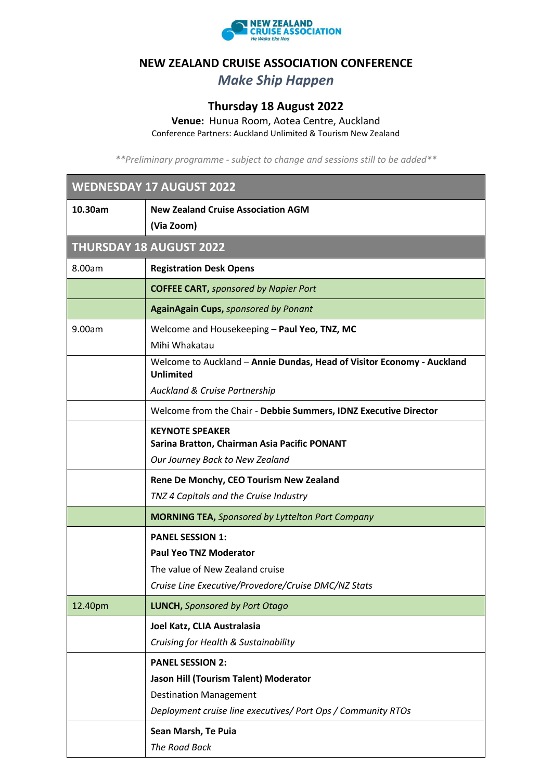

## **NEW ZEALAND CRUISE ASSOCIATION CONFERENCE**

## *Make Ship Happen*

## **Thursday 18 August 2022**

**Venue:** Hunua Room, Aotea Centre, Auckland

Conference Partners: Auckland Unlimited & Tourism New Zealand

*\*\*Preliminary programme - subject to change and sessions still to be added\*\**

| <b>WEDNESDAY 17 AUGUST 2022</b> |                                                                                            |
|---------------------------------|--------------------------------------------------------------------------------------------|
| 10.30am                         | <b>New Zealand Cruise Association AGM</b>                                                  |
|                                 | (Via Zoom)                                                                                 |
| <b>THURSDAY 18 AUGUST 2022</b>  |                                                                                            |
| 8.00am                          | <b>Registration Desk Opens</b>                                                             |
|                                 | <b>COFFEE CART, sponsored by Napier Port</b>                                               |
|                                 | <b>AgainAgain Cups, sponsored by Ponant</b>                                                |
| 9.00am                          | Welcome and Housekeeping - Paul Yeo, TNZ, MC                                               |
|                                 | Mihi Whakatau                                                                              |
|                                 | Welcome to Auckland - Annie Dundas, Head of Visitor Economy - Auckland<br><b>Unlimited</b> |
|                                 | <b>Auckland &amp; Cruise Partnership</b>                                                   |
|                                 | Welcome from the Chair - Debbie Summers, IDNZ Executive Director                           |
|                                 | <b>KEYNOTE SPEAKER</b><br>Sarina Bratton, Chairman Asia Pacific PONANT                     |
|                                 | Our Journey Back to New Zealand                                                            |
|                                 | Rene De Monchy, CEO Tourism New Zealand                                                    |
|                                 | TNZ 4 Capitals and the Cruise Industry                                                     |
|                                 | <b>MORNING TEA, Sponsored by Lyttelton Port Company</b>                                    |
|                                 | <b>PANEL SESSION 1:</b>                                                                    |
|                                 | <b>Paul Yeo TNZ Moderator</b>                                                              |
|                                 | The value of New Zealand cruise                                                            |
|                                 | Cruise Line Executive/Provedore/Cruise DMC/NZ Stats                                        |
| 12.40pm                         | <b>LUNCH, Sponsored by Port Otago</b>                                                      |
|                                 | Joel Katz, CLIA Australasia                                                                |
|                                 | Cruising for Health & Sustainability                                                       |
|                                 | <b>PANEL SESSION 2:</b>                                                                    |
|                                 | Jason Hill (Tourism Talent) Moderator                                                      |
|                                 | <b>Destination Management</b>                                                              |
|                                 | Deployment cruise line executives/ Port Ops / Community RTOs                               |
|                                 | Sean Marsh, Te Puia                                                                        |
|                                 | The Road Back                                                                              |